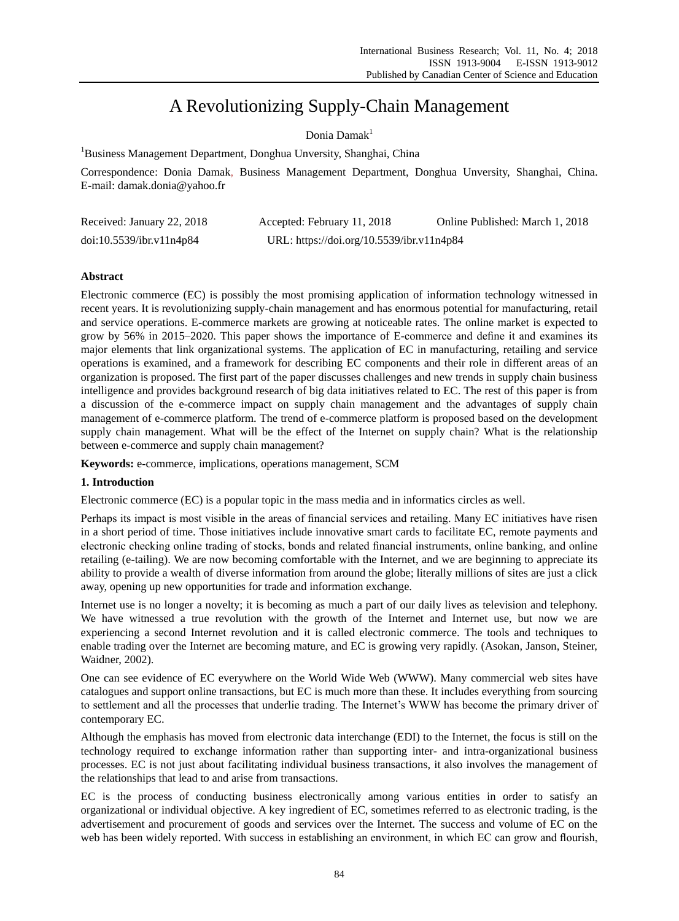# A Revolutionizing Supply-Chain Management

Donia Damak<sup>1</sup>

<sup>1</sup>Business Management Department, Donghua Unversity, Shanghai, China

Correspondence: Donia Damak, Business Management Department, Donghua Unversity, Shanghai, China. E-mail: damak.donia@yahoo.fr

| Received: January 22, 2018 | Accepted: February 11, 2018               | Online Published: March 1, 2018 |
|----------------------------|-------------------------------------------|---------------------------------|
| doi:10.5539/ibr.v11n4p84   | URL: https://doi.org/10.5539/ibr.v11n4p84 |                                 |

# **Abstract**

Electronic commerce (EC) is possibly the most promising application of information technology witnessed in recent years. It is revolutionizing supply-chain management and has enormous potential for manufacturing, retail and service operations. E-commerce markets are growing at noticeable rates. The online market is expected to grow by 56% in 2015–2020. This paper shows the importance of E-commerce and define it and examines its major elements that link organizational systems. The application of EC in manufacturing, retailing and service operations is examined, and a framework for describing EC components and their role in different areas of an organization is proposed. The first part of the paper discusses challenges and new trends in supply chain business intelligence and provides background research of big data initiatives related to EC. The rest of this paper is from a discussion of the e-commerce impact on supply chain management and the advantages of supply chain management of e-commerce platform. The trend of e-commerce platform is proposed based on the development supply chain management. What will be the effect of the Internet on supply chain? What is the relationship between e-commerce and supply chain management?

**Keywords:** e-commerce, implications, operations management, SCM

## **1. Introduction**

Electronic commerce (EC) is a popular topic in the mass media and in informatics circles as well.

Perhaps its impact is most visible in the areas of financial services and retailing. Many EC initiatives have risen in a short period of time. Those initiatives include innovative smart cards to facilitate EC, remote payments and electronic checking online trading of stocks, bonds and related financial instruments, online banking, and online retailing (e-tailing). We are now becoming comfortable with the Internet, and we are beginning to appreciate its ability to provide a wealth of diverse information from around the globe; literally millions of sites are just a click away, opening up new opportunities for trade and information exchange.

Internet use is no longer a novelty; it is becoming as much a part of our daily lives as television and telephony. We have witnessed a true revolution with the growth of the Internet and Internet use, but now we are experiencing a second Internet revolution and it is called electronic commerce. The tools and techniques to enable trading over the Internet are becoming mature, and EC is growing very rapidly. (Asokan, Janson, Steiner, Waidner, 2002).

One can see evidence of EC everywhere on the World Wide Web (WWW). Many commercial web sites have catalogues and support online transactions, but EC is much more than these. It includes everything from sourcing to settlement and all the processes that underlie trading. The Internet's WWW has become the primary driver of contemporary EC.

Although the emphasis has moved from electronic data interchange (EDI) to the Internet, the focus is still on the technology required to exchange information rather than supporting inter- and intra-organizational business processes. EC is not just about facilitating individual business transactions, it also involves the management of the relationships that lead to and arise from transactions.

EC is the process of conducting business electronically among various entities in order to satisfy an organizational or individual objective. A key ingredient of EC, sometimes referred to as electronic trading, is the advertisement and procurement of goods and services over the Internet. The success and volume of EC on the web has been widely reported. With success in establishing an environment, in which EC can grow and flourish,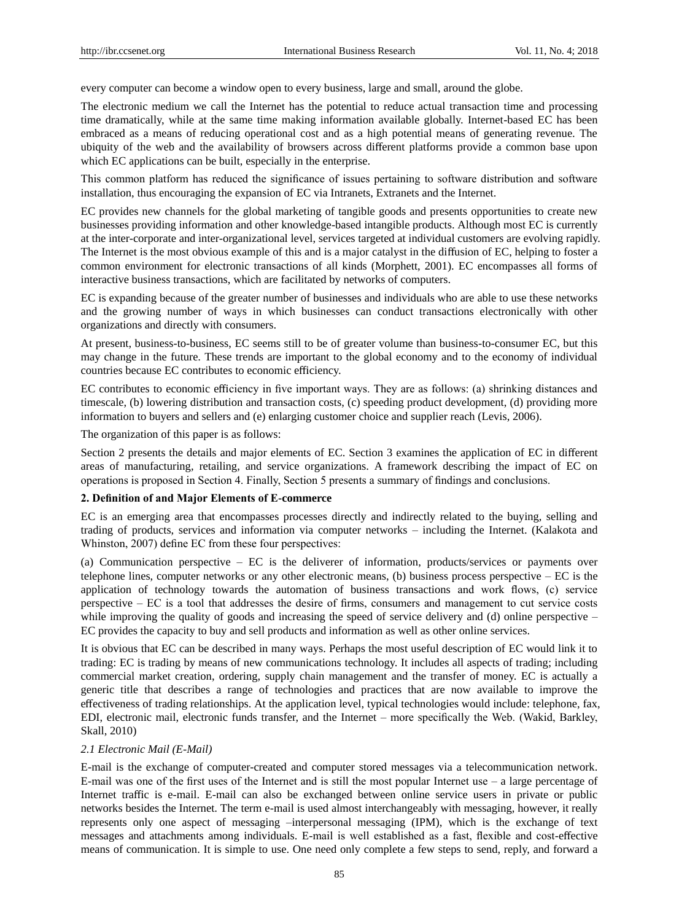every computer can become a window open to every business, large and small, around the globe.

The electronic medium we call the Internet has the potential to reduce actual transaction time and processing time dramatically, while at the same time making information available globally. Internet-based EC has been embraced as a means of reducing operational cost and as a high potential means of generating revenue. The ubiquity of the web and the availability of browsers across different platforms provide a common base upon which EC applications can be built, especially in the enterprise.

This common platform has reduced the significance of issues pertaining to software distribution and software installation, thus encouraging the expansion of EC via Intranets, Extranets and the Internet.

EC provides new channels for the global marketing of tangible goods and presents opportunities to create new businesses providing information and other knowledge-based intangible products. Although most EC is currently at the inter-corporate and inter-organizational level, services targeted at individual customers are evolving rapidly. The Internet is the most obvious example of this and is a major catalyst in the diffusion of EC, helping to foster a common environment for electronic transactions of all kinds (Morphett, 2001). EC encompasses all forms of interactive business transactions, which are facilitated by networks of computers.

EC is expanding because of the greater number of businesses and individuals who are able to use these networks and the growing number of ways in which businesses can conduct transactions electronically with other organizations and directly with consumers.

At present, business-to-business, EC seems still to be of greater volume than business-to-consumer EC, but this may change in the future. These trends are important to the global economy and to the economy of individual countries because EC contributes to economic efficiency.

EC contributes to economic efficiency in five important ways. They are as follows: (a) shrinking distances and timescale, (b) lowering distribution and transaction costs, (c) speeding product development, (d) providing more information to buyers and sellers and (e) enlarging customer choice and supplier reach (Levis, 2006).

The organization of this paper is as follows:

Section 2 presents the details and major elements of EC. Section 3 examines the application of EC in different areas of manufacturing, retailing, and service organizations. A framework describing the impact of EC on operations is proposed in Section 4. Finally, Section 5 presents a summary of findings and conclusions.

#### **2. Definition of and Major Elements of E-commerce**

EC is an emerging area that encompasses processes directly and indirectly related to the buying, selling and trading of products, services and information via computer networks – including the Internet. (Kalakota and Whinston, 2007) define EC from these four perspectives:

(a) Communication perspective – EC is the deliverer of information, products/services or payments over telephone lines, computer networks or any other electronic means, (b) business process perspective – EC is the application of technology towards the automation of business transactions and work flows, (c) service perspective – EC is a tool that addresses the desire of firms, consumers and management to cut service costs while improving the quality of goods and increasing the speed of service delivery and (d) online perspective  $-$ EC provides the capacity to buy and sell products and information as well as other online services.

It is obvious that EC can be described in many ways. Perhaps the most useful description of EC would link it to trading: EC is trading by means of new communications technology. It includes all aspects of trading; including commercial market creation, ordering, supply chain management and the transfer of money. EC is actually a generic title that describes a range of technologies and practices that are now available to improve the effectiveness of trading relationships. At the application level, typical technologies would include: telephone, fax, EDI, electronic mail, electronic funds transfer, and the Internet – more specifically the Web. (Wakid, Barkley, Skall, 2010)

## *2.1 Electronic Mail (E-Mail)*

E-mail is the exchange of computer-created and computer stored messages via a telecommunication network. E-mail was one of the first uses of the Internet and is still the most popular Internet use – a large percentage of Internet traffic is e-mail. E-mail can also be exchanged between online service users in private or public networks besides the Internet. The term e-mail is used almost interchangeably with messaging, however, it really represents only one aspect of messaging –interpersonal messaging (IPM), which is the exchange of text messages and attachments among individuals. E-mail is well established as a fast, flexible and cost-effective means of communication. It is simple to use. One need only complete a few steps to send, reply, and forward a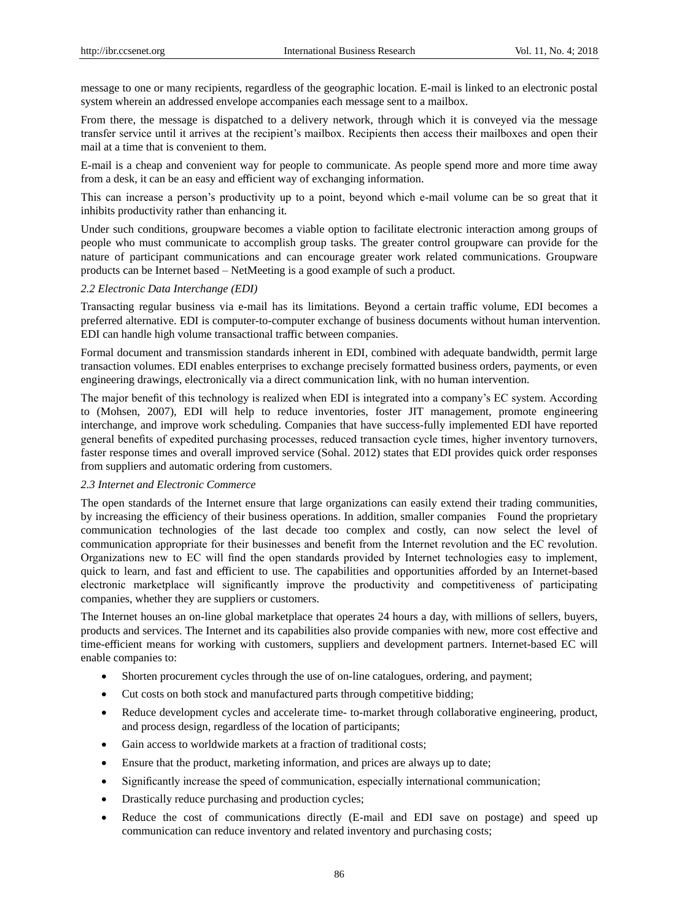message to one or many recipients, regardless of the geographic location. E-mail is linked to an electronic postal system wherein an addressed envelope accompanies each message sent to a mailbox.

From there, the message is dispatched to a delivery network, through which it is conveyed via the message transfer service until it arrives at the recipient's mailbox. Recipients then access their mailboxes and open their mail at a time that is convenient to them.

E-mail is a cheap and convenient way for people to communicate. As people spend more and more time away from a desk, it can be an easy and efficient way of exchanging information.

This can increase a person's productivity up to a point, beyond which e-mail volume can be so great that it inhibits productivity rather than enhancing it.

Under such conditions, groupware becomes a viable option to facilitate electronic interaction among groups of people who must communicate to accomplish group tasks. The greater control groupware can provide for the nature of participant communications and can encourage greater work related communications. Groupware products can be Internet based – NetMeeting is a good example of such a product.

## *2.2 Electronic Data Interchange (EDI)*

Transacting regular business via e-mail has its limitations. Beyond a certain traffic volume, EDI becomes a preferred alternative. EDI is computer-to-computer exchange of business documents without human intervention. EDI can handle high volume transactional traffic between companies.

Formal document and transmission standards inherent in EDI, combined with adequate bandwidth, permit large transaction volumes. EDI enables enterprises to exchange precisely formatted business orders, payments, or even engineering drawings, electronically via a direct communication link, with no human intervention.

The major benefit of this technology is realized when EDI is integrated into a company's EC system. According to (Mohsen, 2007), EDI will help to reduce inventories, foster JIT management, promote engineering interchange, and improve work scheduling. Companies that have success-fully implemented EDI have reported general benefits of expedited purchasing processes, reduced transaction cycle times, higher inventory turnovers, faster response times and overall improved service (Sohal. 2012) states that EDI provides quick order responses from suppliers and automatic ordering from customers.

#### *2.3 Internet and Electronic Commerce*

The open standards of the Internet ensure that large organizations can easily extend their trading communities, by increasing the efficiency of their business operations. In addition, smaller companies Found the proprietary communication technologies of the last decade too complex and costly, can now select the level of communication appropriate for their businesses and benefit from the Internet revolution and the EC revolution. Organizations new to EC will find the open standards provided by Internet technologies easy to implement, quick to learn, and fast and efficient to use. The capabilities and opportunities afforded by an Internet-based electronic marketplace will significantly improve the productivity and competitiveness of participating companies, whether they are suppliers or customers.

The Internet houses an on-line global marketplace that operates 24 hours a day, with millions of sellers, buyers, products and services. The Internet and its capabilities also provide companies with new, more cost effective and time-efficient means for working with customers, suppliers and development partners. Internet-based EC will enable companies to:

- Shorten procurement cycles through the use of on-line catalogues, ordering, and payment;
- Cut costs on both stock and manufactured parts through competitive bidding;
- Reduce development cycles and accelerate time- to-market through collaborative engineering, product, and process design, regardless of the location of participants;
- Gain access to worldwide markets at a fraction of traditional costs;
- Ensure that the product, marketing information, and prices are always up to date;
- Significantly increase the speed of communication, especially international communication;
- Drastically reduce purchasing and production cycles;
- Reduce the cost of communications directly (E-mail and EDI save on postage) and speed up communication can reduce inventory and related inventory and purchasing costs;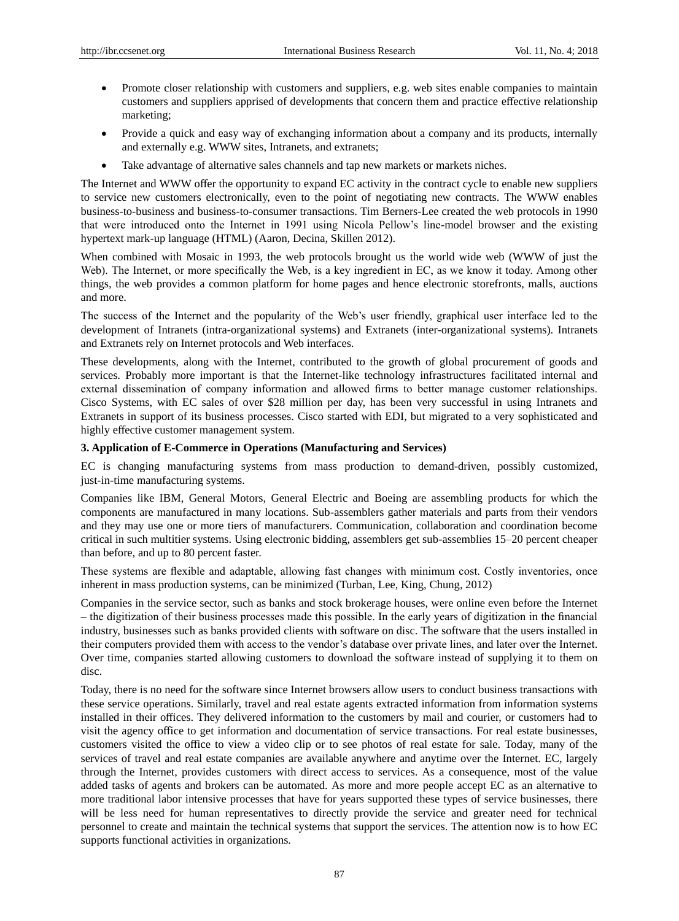- Promote closer relationship with customers and suppliers, e.g. web sites enable companies to maintain customers and suppliers apprised of developments that concern them and practice effective relationship marketing;
- Provide a quick and easy way of exchanging information about a company and its products, internally and externally e.g. WWW sites, Intranets, and extranets;
- Take advantage of alternative sales channels and tap new markets or markets niches.

The Internet and WWW offer the opportunity to expand EC activity in the contract cycle to enable new suppliers to service new customers electronically, even to the point of negotiating new contracts. The WWW enables business-to-business and business-to-consumer transactions. Tim Berners-Lee created the web protocols in 1990 that were introduced onto the Internet in 1991 using Nicola Pellow's line-model browser and the existing hypertext mark-up language (HTML) (Aaron, Decina, Skillen 2012).

When combined with Mosaic in 1993, the web protocols brought us the world wide web (WWW of just the Web). The Internet, or more specifically the Web, is a key ingredient in EC, as we know it today. Among other things, the web provides a common platform for home pages and hence electronic storefronts, malls, auctions and more.

The success of the Internet and the popularity of the Web's user friendly, graphical user interface led to the development of Intranets (intra-organizational systems) and Extranets (inter-organizational systems). Intranets and Extranets rely on Internet protocols and Web interfaces.

These developments, along with the Internet, contributed to the growth of global procurement of goods and services. Probably more important is that the Internet-like technology infrastructures facilitated internal and external dissemination of company information and allowed firms to better manage customer relationships. Cisco Systems, with EC sales of over \$28 million per day, has been very successful in using Intranets and Extranets in support of its business processes. Cisco started with EDI, but migrated to a very sophisticated and highly effective customer management system.

## **3. Application of E-Commerce in Operations (Manufacturing and Services)**

EC is changing manufacturing systems from mass production to demand-driven, possibly customized, just-in-time manufacturing systems.

Companies like IBM, General Motors, General Electric and Boeing are assembling products for which the components are manufactured in many locations. Sub-assemblers gather materials and parts from their vendors and they may use one or more tiers of manufacturers. Communication, collaboration and coordination become critical in such multitier systems. Using electronic bidding, assemblers get sub-assemblies 15–20 percent cheaper than before, and up to 80 percent faster.

These systems are flexible and adaptable, allowing fast changes with minimum cost. Costly inventories, once inherent in mass production systems, can be minimized (Turban, Lee, King, Chung, 2012)

Companies in the service sector, such as banks and stock brokerage houses, were online even before the Internet – the digitization of their business processes made this possible. In the early years of digitization in the financial industry, businesses such as banks provided clients with software on disc. The software that the users installed in their computers provided them with access to the vendor's database over private lines, and later over the Internet. Over time, companies started allowing customers to download the software instead of supplying it to them on disc.

Today, there is no need for the software since Internet browsers allow users to conduct business transactions with these service operations. Similarly, travel and real estate agents extracted information from information systems installed in their offices. They delivered information to the customers by mail and courier, or customers had to visit the agency office to get information and documentation of service transactions. For real estate businesses, customers visited the office to view a video clip or to see photos of real estate for sale. Today, many of the services of travel and real estate companies are available anywhere and anytime over the Internet. EC, largely through the Internet, provides customers with direct access to services. As a consequence, most of the value added tasks of agents and brokers can be automated. As more and more people accept EC as an alternative to more traditional labor intensive processes that have for years supported these types of service businesses, there will be less need for human representatives to directly provide the service and greater need for technical personnel to create and maintain the technical systems that support the services. The attention now is to how EC supports functional activities in organizations.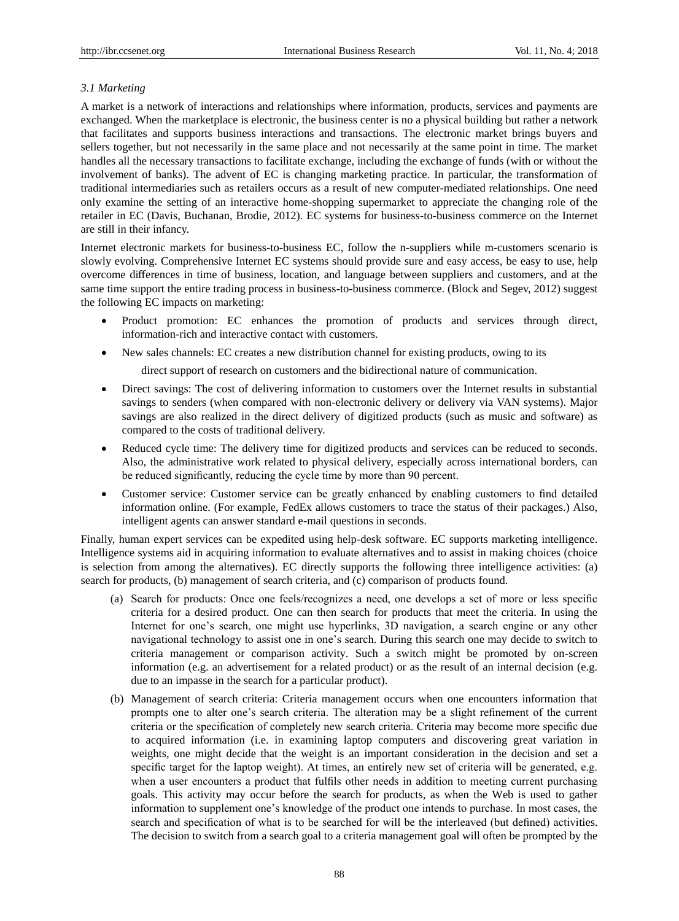# *3.1 Marketing*

A market is a network of interactions and relationships where information, products, services and payments are exchanged. When the marketplace is electronic, the business center is no a physical building but rather a network that facilitates and supports business interactions and transactions. The electronic market brings buyers and sellers together, but not necessarily in the same place and not necessarily at the same point in time. The market handles all the necessary transactions to facilitate exchange, including the exchange of funds (with or without the involvement of banks). The advent of EC is changing marketing practice. In particular, the transformation of traditional intermediaries such as retailers occurs as a result of new computer-mediated relationships. One need only examine the setting of an interactive home-shopping supermarket to appreciate the changing role of the retailer in EC (Davis, Buchanan, Brodie, 2012). EC systems for business-to-business commerce on the Internet are still in their infancy.

Internet electronic markets for business-to-business EC, follow the n-suppliers while m-customers scenario is slowly evolving. Comprehensive Internet EC systems should provide sure and easy access, be easy to use, help overcome differences in time of business, location, and language between suppliers and customers, and at the same time support the entire trading process in business-to-business commerce. (Block and Segev, 2012) suggest the following EC impacts on marketing:

- Product promotion: EC enhances the promotion of products and services through direct, information-rich and interactive contact with customers.
- New sales channels: EC creates a new distribution channel for existing products, owing to its

direct support of research on customers and the bidirectional nature of communication.

- Direct savings: The cost of delivering information to customers over the Internet results in substantial savings to senders (when compared with non-electronic delivery or delivery via VAN systems). Major savings are also realized in the direct delivery of digitized products (such as music and software) as compared to the costs of traditional delivery.
- Reduced cycle time: The delivery time for digitized products and services can be reduced to seconds. Also, the administrative work related to physical delivery, especially across international borders, can be reduced significantly, reducing the cycle time by more than 90 percent.
- Customer service: Customer service can be greatly enhanced by enabling customers to find detailed information online. (For example, FedEx allows customers to trace the status of their packages.) Also, intelligent agents can answer standard e-mail questions in seconds.

Finally, human expert services can be expedited using help-desk software. EC supports marketing intelligence. Intelligence systems aid in acquiring information to evaluate alternatives and to assist in making choices (choice is selection from among the alternatives). EC directly supports the following three intelligence activities: (a) search for products, (b) management of search criteria, and (c) comparison of products found.

- (a) Search for products: Once one feels/recognizes a need, one develops a set of more or less specific criteria for a desired product. One can then search for products that meet the criteria. In using the Internet for one's search, one might use hyperlinks, 3D navigation, a search engine or any other navigational technology to assist one in one's search. During this search one may decide to switch to criteria management or comparison activity. Such a switch might be promoted by on-screen information (e.g. an advertisement for a related product) or as the result of an internal decision (e.g. due to an impasse in the search for a particular product).
- (b) Management of search criteria: Criteria management occurs when one encounters information that prompts one to alter one's search criteria. The alteration may be a slight refinement of the current criteria or the specification of completely new search criteria. Criteria may become more specific due to acquired information (i.e. in examining laptop computers and discovering great variation in weights, one might decide that the weight is an important consideration in the decision and set a specific target for the laptop weight). At times, an entirely new set of criteria will be generated, e.g. when a user encounters a product that fulfils other needs in addition to meeting current purchasing goals. This activity may occur before the search for products, as when the Web is used to gather information to supplement one's knowledge of the product one intends to purchase. In most cases, the search and specification of what is to be searched for will be the interleaved (but defined) activities. The decision to switch from a search goal to a criteria management goal will often be prompted by the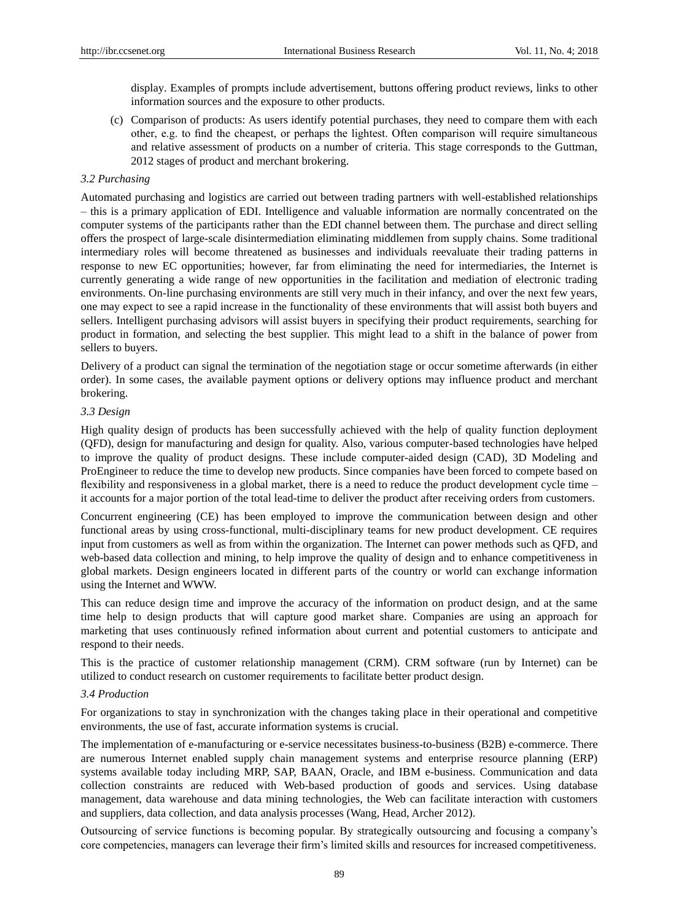display. Examples of prompts include advertisement, buttons offering product reviews, links to other information sources and the exposure to other products.

(c) Comparison of products: As users identify potential purchases, they need to compare them with each other, e.g. to find the cheapest, or perhaps the lightest. Often comparison will require simultaneous and relative assessment of products on a number of criteria. This stage corresponds to the Guttman, 2012 stages of product and merchant brokering.

## *3.2 Purchasing*

Automated purchasing and logistics are carried out between trading partners with well-established relationships – this is a primary application of EDI. Intelligence and valuable information are normally concentrated on the computer systems of the participants rather than the EDI channel between them. The purchase and direct selling offers the prospect of large-scale disintermediation eliminating middlemen from supply chains. Some traditional intermediary roles will become threatened as businesses and individuals reevaluate their trading patterns in response to new EC opportunities; however, far from eliminating the need for intermediaries, the Internet is currently generating a wide range of new opportunities in the facilitation and mediation of electronic trading environments. On-line purchasing environments are still very much in their infancy, and over the next few years, one may expect to see a rapid increase in the functionality of these environments that will assist both buyers and sellers. Intelligent purchasing advisors will assist buyers in specifying their product requirements, searching for product in formation, and selecting the best supplier. This might lead to a shift in the balance of power from sellers to buyers.

Delivery of a product can signal the termination of the negotiation stage or occur sometime afterwards (in either order). In some cases, the available payment options or delivery options may influence product and merchant brokering.

## *3.3 Design*

High quality design of products has been successfully achieved with the help of quality function deployment (QFD), design for manufacturing and design for quality. Also, various computer-based technologies have helped to improve the quality of product designs. These include computer-aided design (CAD), 3D Modeling and ProEngineer to reduce the time to develop new products. Since companies have been forced to compete based on flexibility and responsiveness in a global market, there is a need to reduce the product development cycle time – it accounts for a major portion of the total lead-time to deliver the product after receiving orders from customers.

Concurrent engineering (CE) has been employed to improve the communication between design and other functional areas by using cross-functional, multi-disciplinary teams for new product development. CE requires input from customers as well as from within the organization. The Internet can power methods such as QFD, and web-based data collection and mining, to help improve the quality of design and to enhance competitiveness in global markets. Design engineers located in different parts of the country or world can exchange information using the Internet and WWW.

This can reduce design time and improve the accuracy of the information on product design, and at the same time help to design products that will capture good market share. Companies are using an approach for marketing that uses continuously refined information about current and potential customers to anticipate and respond to their needs.

This is the practice of customer relationship management (CRM). CRM software (run by Internet) can be utilized to conduct research on customer requirements to facilitate better product design.

## *3.4 Production*

For organizations to stay in synchronization with the changes taking place in their operational and competitive environments, the use of fast, accurate information systems is crucial.

The implementation of e-manufacturing or e-service necessitates business-to-business (B2B) e-commerce. There are numerous Internet enabled supply chain management systems and enterprise resource planning (ERP) systems available today including MRP, SAP, BAAN, Oracle, and IBM e-business. Communication and data collection constraints are reduced with Web-based production of goods and services. Using database management, data warehouse and data mining technologies, the Web can facilitate interaction with customers and suppliers, data collection, and data analysis processes (Wang, Head, Archer 2012).

Outsourcing of service functions is becoming popular. By strategically outsourcing and focusing a company's core competencies, managers can leverage their firm's limited skills and resources for increased competitiveness.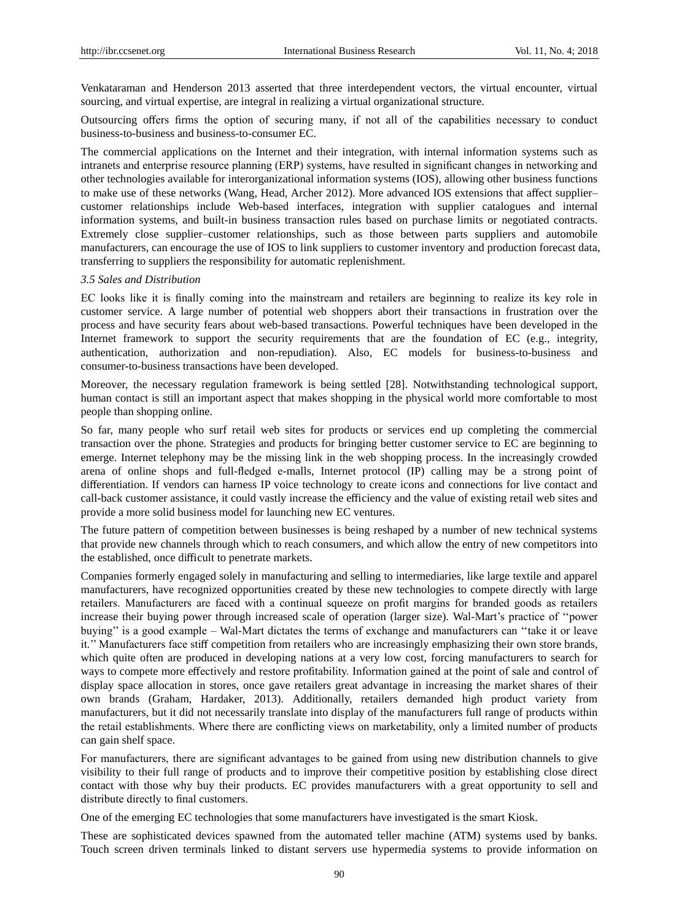Venkataraman and Henderson 2013 asserted that three interdependent vectors, the virtual encounter, virtual sourcing, and virtual expertise, are integral in realizing a virtual organizational structure.

Outsourcing offers firms the option of securing many, if not all of the capabilities necessary to conduct business-to-business and business-to-consumer EC.

The commercial applications on the Internet and their integration, with internal information systems such as intranets and enterprise resource planning (ERP) systems, have resulted in significant changes in networking and other technologies available for interorganizational information systems (IOS), allowing other business functions to make use of these networks (Wang, Head, Archer 2012). More advanced IOS extensions that affect supplier– customer relationships include Web-based interfaces, integration with supplier catalogues and internal information systems, and built-in business transaction rules based on purchase limits or negotiated contracts. Extremely close supplier–customer relationships, such as those between parts suppliers and automobile manufacturers, can encourage the use of IOS to link suppliers to customer inventory and production forecast data, transferring to suppliers the responsibility for automatic replenishment.

## *3.5 Sales and Distribution*

EC looks like it is finally coming into the mainstream and retailers are beginning to realize its key role in customer service. A large number of potential web shoppers abort their transactions in frustration over the process and have security fears about web-based transactions. Powerful techniques have been developed in the Internet framework to support the security requirements that are the foundation of EC (e.g., integrity, authentication, authorization and non-repudiation). Also, EC models for business-to-business and consumer-to-business transactions have been developed.

Moreover, the necessary regulation framework is being settled [28]. Notwithstanding technological support, human contact is still an important aspect that makes shopping in the physical world more comfortable to most people than shopping online.

So far, many people who surf retail web sites for products or services end up completing the commercial transaction over the phone. Strategies and products for bringing better customer service to EC are beginning to emerge. Internet telephony may be the missing link in the web shopping process. In the increasingly crowded arena of online shops and full-fledged e-malls, Internet protocol (IP) calling may be a strong point of differentiation. If vendors can harness IP voice technology to create icons and connections for live contact and call-back customer assistance, it could vastly increase the efficiency and the value of existing retail web sites and provide a more solid business model for launching new EC ventures.

The future pattern of competition between businesses is being reshaped by a number of new technical systems that provide new channels through which to reach consumers, and which allow the entry of new competitors into the established, once difficult to penetrate markets.

Companies formerly engaged solely in manufacturing and selling to intermediaries, like large textile and apparel manufacturers, have recognized opportunities created by these new technologies to compete directly with large retailers. Manufacturers are faced with a continual squeeze on profit margins for branded goods as retailers increase their buying power through increased scale of operation (larger size). Wal-Mart's practice of ''power buying'' is a good example – Wal-Mart dictates the terms of exchange and manufacturers can ''take it or leave it.'' Manufacturers face stiff competition from retailers who are increasingly emphasizing their own store brands, which quite often are produced in developing nations at a very low cost, forcing manufacturers to search for ways to compete more effectively and restore profitability. Information gained at the point of sale and control of display space allocation in stores, once gave retailers great advantage in increasing the market shares of their own brands (Graham, Hardaker, 2013). Additionally, retailers demanded high product variety from manufacturers, but it did not necessarily translate into display of the manufacturers full range of products within the retail establishments. Where there are conflicting views on marketability, only a limited number of products can gain shelf space.

For manufacturers, there are significant advantages to be gained from using new distribution channels to give visibility to their full range of products and to improve their competitive position by establishing close direct contact with those why buy their products. EC provides manufacturers with a great opportunity to sell and distribute directly to final customers.

One of the emerging EC technologies that some manufacturers have investigated is the smart Kiosk.

These are sophisticated devices spawned from the automated teller machine (ATM) systems used by banks. Touch screen driven terminals linked to distant servers use hypermedia systems to provide information on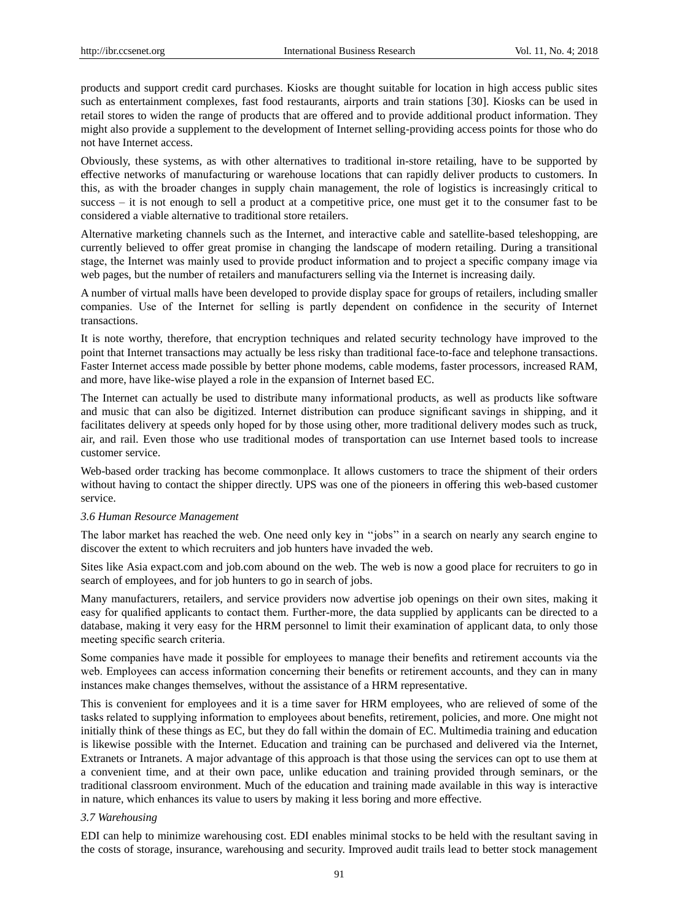products and support credit card purchases. Kiosks are thought suitable for location in high access public sites such as entertainment complexes, fast food restaurants, airports and train stations [30]. Kiosks can be used in retail stores to widen the range of products that are offered and to provide additional product information. They might also provide a supplement to the development of Internet selling-providing access points for those who do not have Internet access.

Obviously, these systems, as with other alternatives to traditional in-store retailing, have to be supported by effective networks of manufacturing or warehouse locations that can rapidly deliver products to customers. In this, as with the broader changes in supply chain management, the role of logistics is increasingly critical to success – it is not enough to sell a product at a competitive price, one must get it to the consumer fast to be considered a viable alternative to traditional store retailers.

Alternative marketing channels such as the Internet, and interactive cable and satellite-based teleshopping, are currently believed to offer great promise in changing the landscape of modern retailing. During a transitional stage, the Internet was mainly used to provide product information and to project a specific company image via web pages, but the number of retailers and manufacturers selling via the Internet is increasing daily.

A number of virtual malls have been developed to provide display space for groups of retailers, including smaller companies. Use of the Internet for selling is partly dependent on confidence in the security of Internet transactions.

It is note worthy, therefore, that encryption techniques and related security technology have improved to the point that Internet transactions may actually be less risky than traditional face-to-face and telephone transactions. Faster Internet access made possible by better phone modems, cable modems, faster processors, increased RAM, and more, have like-wise played a role in the expansion of Internet based EC.

The Internet can actually be used to distribute many informational products, as well as products like software and music that can also be digitized. Internet distribution can produce significant savings in shipping, and it facilitates delivery at speeds only hoped for by those using other, more traditional delivery modes such as truck, air, and rail. Even those who use traditional modes of transportation can use Internet based tools to increase customer service.

Web-based order tracking has become commonplace. It allows customers to trace the shipment of their orders without having to contact the shipper directly. UPS was one of the pioneers in offering this web-based customer service.

## *3.6 Human Resource Management*

The labor market has reached the web. One need only key in ''jobs'' in a search on nearly any search engine to discover the extent to which recruiters and job hunters have invaded the web.

Sites like Asia expact.com and job.com abound on the web. The web is now a good place for recruiters to go in search of employees, and for job hunters to go in search of jobs.

Many manufacturers, retailers, and service providers now advertise job openings on their own sites, making it easy for qualified applicants to contact them. Further-more, the data supplied by applicants can be directed to a database, making it very easy for the HRM personnel to limit their examination of applicant data, to only those meeting specific search criteria.

Some companies have made it possible for employees to manage their benefits and retirement accounts via the web. Employees can access information concerning their benefits or retirement accounts, and they can in many instances make changes themselves, without the assistance of a HRM representative.

This is convenient for employees and it is a time saver for HRM employees, who are relieved of some of the tasks related to supplying information to employees about benefits, retirement, policies, and more. One might not initially think of these things as EC, but they do fall within the domain of EC. Multimedia training and education is likewise possible with the Internet. Education and training can be purchased and delivered via the Internet, Extranets or Intranets. A major advantage of this approach is that those using the services can opt to use them at a convenient time, and at their own pace, unlike education and training provided through seminars, or the traditional classroom environment. Much of the education and training made available in this way is interactive in nature, which enhances its value to users by making it less boring and more effective.

## *3.7 Warehousing*

EDI can help to minimize warehousing cost. EDI enables minimal stocks to be held with the resultant saving in the costs of storage, insurance, warehousing and security. Improved audit trails lead to better stock management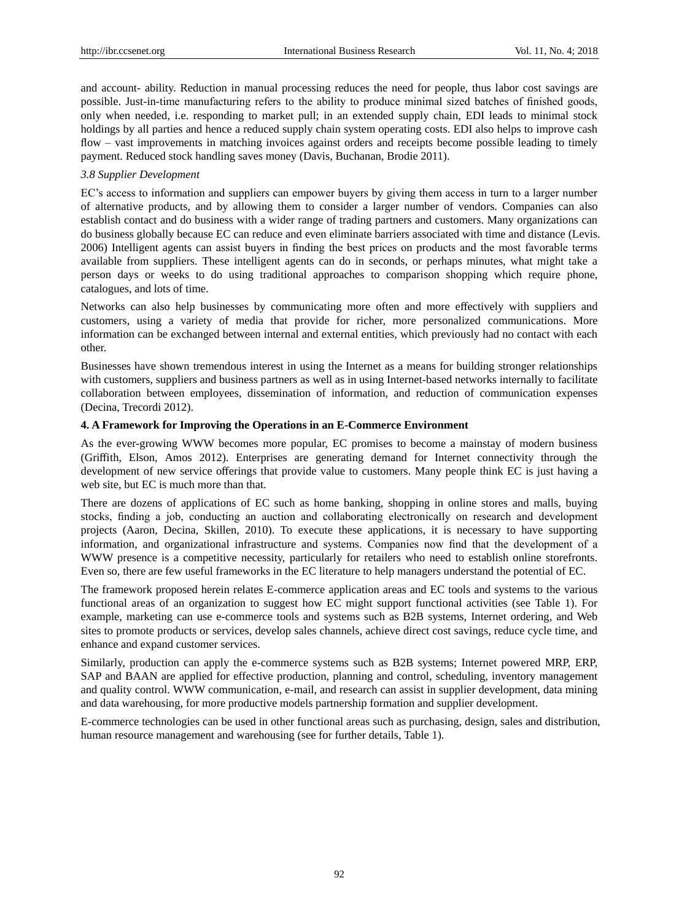and account- ability. Reduction in manual processing reduces the need for people, thus labor cost savings are possible. Just-in-time manufacturing refers to the ability to produce minimal sized batches of finished goods, only when needed, i.e. responding to market pull; in an extended supply chain, EDI leads to minimal stock holdings by all parties and hence a reduced supply chain system operating costs. EDI also helps to improve cash flow – vast improvements in matching invoices against orders and receipts become possible leading to timely payment. Reduced stock handling saves money (Davis, Buchanan, Brodie 2011).

## *3.8 Supplier Development*

EC's access to information and suppliers can empower buyers by giving them access in turn to a larger number of alternative products, and by allowing them to consider a larger number of vendors. Companies can also establish contact and do business with a wider range of trading partners and customers. Many organizations can do business globally because EC can reduce and even eliminate barriers associated with time and distance (Levis. 2006) Intelligent agents can assist buyers in finding the best prices on products and the most favorable terms available from suppliers. These intelligent agents can do in seconds, or perhaps minutes, what might take a person days or weeks to do using traditional approaches to comparison shopping which require phone, catalogues, and lots of time.

Networks can also help businesses by communicating more often and more effectively with suppliers and customers, using a variety of media that provide for richer, more personalized communications. More information can be exchanged between internal and external entities, which previously had no contact with each other.

Businesses have shown tremendous interest in using the Internet as a means for building stronger relationships with customers, suppliers and business partners as well as in using Internet-based networks internally to facilitate collaboration between employees, dissemination of information, and reduction of communication expenses (Decina, Trecordi 2012).

## **4. A Framework for Improving the Operations in an E-Commerce Environment**

As the ever-growing WWW becomes more popular, EC promises to become a mainstay of modern business (Griffith, Elson, Amos 2012). Enterprises are generating demand for Internet connectivity through the development of new service offerings that provide value to customers. Many people think EC is just having a web site, but EC is much more than that.

There are dozens of applications of EC such as home banking, shopping in online stores and malls, buying stocks, finding a job, conducting an auction and collaborating electronically on research and development projects (Aaron, Decina, Skillen, 2010). To execute these applications, it is necessary to have supporting information, and organizational infrastructure and systems. Companies now find that the development of a WWW presence is a competitive necessity, particularly for retailers who need to establish online storefronts. Even so, there are few useful frameworks in the EC literature to help managers understand the potential of EC.

The framework proposed herein relates E-commerce application areas and EC tools and systems to the various functional areas of an organization to suggest how EC might support functional activities (see Table 1). For example, marketing can use e-commerce tools and systems such as B2B systems, Internet ordering, and Web sites to promote products or services, develop sales channels, achieve direct cost savings, reduce cycle time, and enhance and expand customer services.

Similarly, production can apply the e-commerce systems such as B2B systems; Internet powered MRP, ERP, SAP and BAAN are applied for effective production, planning and control, scheduling, inventory management and quality control. WWW communication, e-mail, and research can assist in supplier development, data mining and data warehousing, for more productive models partnership formation and supplier development.

E-commerce technologies can be used in other functional areas such as purchasing, design, sales and distribution, human resource management and warehousing (see for further details, Table 1).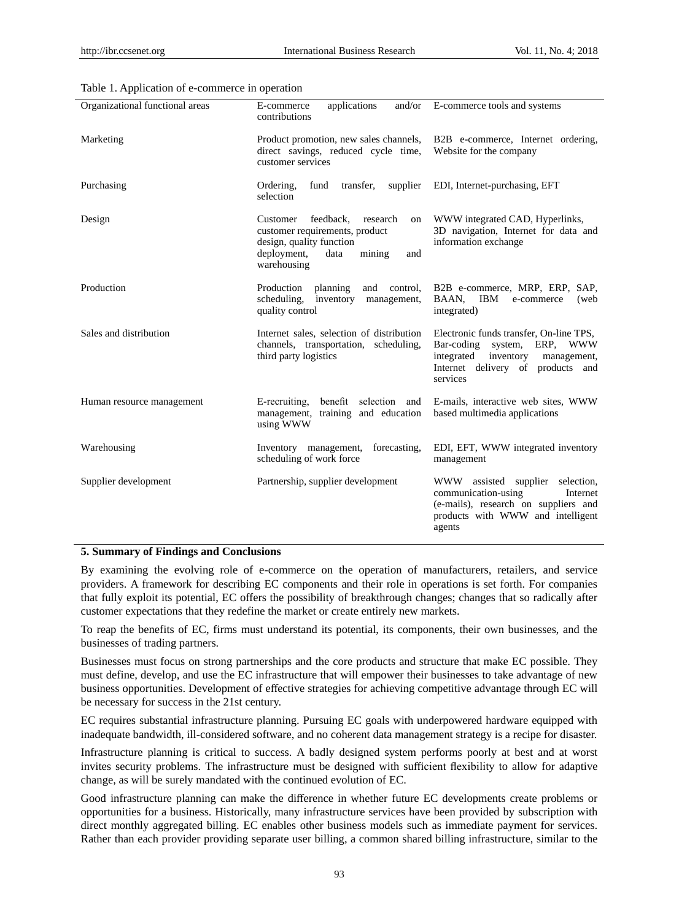| Organizational functional areas | applications<br>E-commerce<br>contributions                                                                                                                  | and/or E-commerce tools and systems                                                                                                                                     |
|---------------------------------|--------------------------------------------------------------------------------------------------------------------------------------------------------------|-------------------------------------------------------------------------------------------------------------------------------------------------------------------------|
| Marketing                       | Product promotion, new sales channels,<br>direct savings, reduced cycle time,<br>customer services                                                           | B2B e-commerce, Internet ordering,<br>Website for the company                                                                                                           |
| Purchasing                      | transfer,<br>fund<br>supplier<br>Ordering,<br>selection                                                                                                      | EDI, Internet-purchasing, EFT                                                                                                                                           |
| Design                          | feedback,<br>Customer<br>research<br>on<br>customer requirements, product<br>design, quality function<br>deployment,<br>data<br>mining<br>and<br>warehousing | WWW integrated CAD, Hyperlinks,<br>3D navigation, Internet for data and<br>information exchange                                                                         |
| Production                      | Production<br>planning<br>and<br>control.<br>scheduling.<br>inventory<br>management,<br>quality control                                                      | B2B e-commerce, MRP, ERP, SAP,<br><b>IBM</b><br>BAAN,<br>e-commerce<br>(web)<br>integrated)                                                                             |
| Sales and distribution          | Internet sales, selection of distribution<br>channels, transportation, scheduling,<br>third party logistics                                                  | Electronic funds transfer, On-line TPS,<br>Bar-coding<br>system,<br>ERP, WWW<br>inventory<br>integrated<br>management,<br>Internet delivery of products and<br>services |
| Human resource management       | E-recruiting,<br>benefit<br>selection<br>and<br>training and education<br>management,<br>using WWW                                                           | E-mails, interactive web sites, WWW<br>based multimedia applications                                                                                                    |
| Warehousing                     | Inventory management,<br>forecasting,<br>scheduling of work force                                                                                            | EDI, EFT, WWW integrated inventory<br>management                                                                                                                        |
| Supplier development            | Partnership, supplier development                                                                                                                            | WWW assisted supplier<br>selection,<br>communication-using<br>Internet<br>(e-mails), research on suppliers and<br>products with WWW and intelligent<br>agents           |

#### Table 1. Application of e-commerce in operation

## **5. Summary of Findings and Conclusions**

By examining the evolving role of e-commerce on the operation of manufacturers, retailers, and service providers. A framework for describing EC components and their role in operations is set forth. For companies that fully exploit its potential, EC offers the possibility of breakthrough changes; changes that so radically after customer expectations that they redefine the market or create entirely new markets.

To reap the benefits of EC, firms must understand its potential, its components, their own businesses, and the businesses of trading partners.

Businesses must focus on strong partnerships and the core products and structure that make EC possible. They must define, develop, and use the EC infrastructure that will empower their businesses to take advantage of new business opportunities. Development of effective strategies for achieving competitive advantage through EC will be necessary for success in the 21st century.

EC requires substantial infrastructure planning. Pursuing EC goals with underpowered hardware equipped with inadequate bandwidth, ill-considered software, and no coherent data management strategy is a recipe for disaster.

Infrastructure planning is critical to success. A badly designed system performs poorly at best and at worst invites security problems. The infrastructure must be designed with sufficient flexibility to allow for adaptive change, as will be surely mandated with the continued evolution of EC.

Good infrastructure planning can make the difference in whether future EC developments create problems or opportunities for a business. Historically, many infrastructure services have been provided by subscription with direct monthly aggregated billing. EC enables other business models such as immediate payment for services. Rather than each provider providing separate user billing, a common shared billing infrastructure, similar to the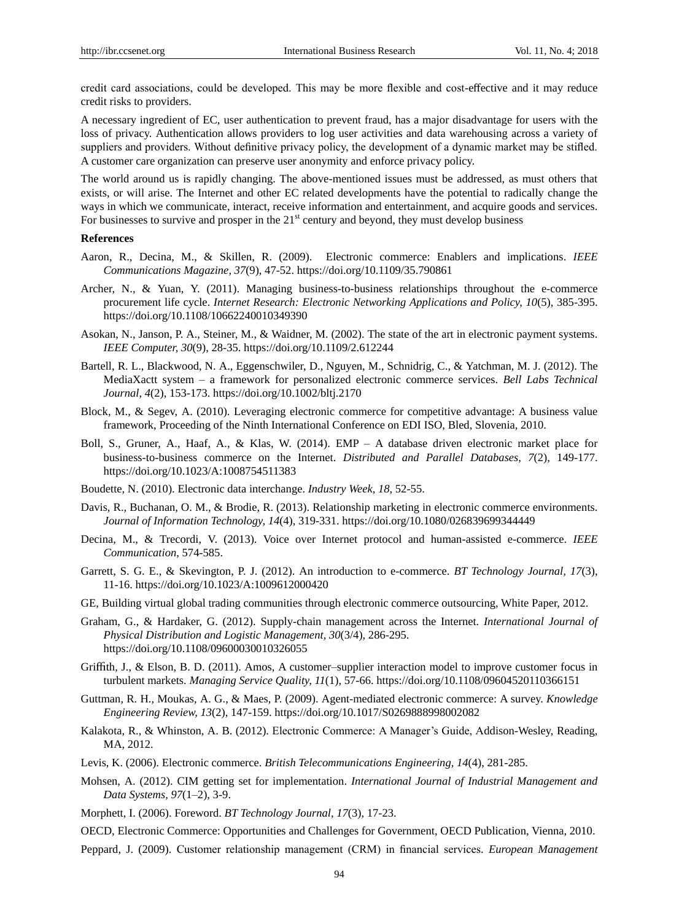credit card associations, could be developed. This may be more flexible and cost-effective and it may reduce credit risks to providers.

A necessary ingredient of EC, user authentication to prevent fraud, has a major disadvantage for users with the loss of privacy. Authentication allows providers to log user activities and data warehousing across a variety of suppliers and providers. Without definitive privacy policy, the development of a dynamic market may be stifled. A customer care organization can preserve user anonymity and enforce privacy policy.

The world around us is rapidly changing. The above-mentioned issues must be addressed, as must others that exists, or will arise. The Internet and other EC related developments have the potential to radically change the ways in which we communicate, interact, receive information and entertainment, and acquire goods and services. For businesses to survive and prosper in the  $21<sup>st</sup>$  century and beyond, they must develop business

## **References**

- Aaron, R., Decina, M., & Skillen, R. (2009). Electronic commerce: Enablers and implications. *IEEE Communications Magazine, 37*(9), 47-52. https://doi.org/10.1109/35.790861
- Archer, N., & Yuan, Y. (2011). Managing business-to-business relationships throughout the e-commerce procurement life cycle. *Internet Research: Electronic Networking Applications and Policy, 10*(5), 385-395. https://doi.org/10.1108/10662240010349390
- Asokan, N., Janson, P. A., Steiner, M., & Waidner, M. (2002). The state of the art in electronic payment systems. *IEEE Computer, 30*(9), 28-35. https://doi.org/10.1109/2.612244
- Bartell, R. L., Blackwood, N. A., Eggenschwiler, D., Nguyen, M., Schnidrig, C., & Yatchman, M. J. (2012). The MediaXactt system – a framework for personalized electronic commerce services. *Bell Labs Technical Journal, 4*(2), 153-173. https://doi.org/10.1002/bltj.2170
- Block, M., & Segev, A. (2010). Leveraging electronic commerce for competitive advantage: A business value framework, Proceeding of the Ninth International Conference on EDI ISO, Bled, Slovenia, 2010.
- Boll, S., Gruner, A., Haaf, A., & Klas, W. (2014). EMP A database driven electronic market place for business-to-business commerce on the Internet. *Distributed and Parallel Databases, 7*(2), 149-177. https://doi.org/10.1023/A:1008754511383
- Boudette, N. (2010). Electronic data interchange. *Industry Week, 18,* 52-55.
- Davis, R., Buchanan, O. M., & Brodie, R. (2013). Relationship marketing in electronic commerce environments. *Journal of Information Technology, 14*(4), 319-331. https://doi.org/10.1080/026839699344449
- Decina, M., & Trecordi, V. (2013). Voice over Internet protocol and human-assisted e-commerce. *IEEE Communication*, 574-585.
- Garrett, S. G. E., & Skevington, P. J. (2012). An introduction to e-commerce. *BT Technology Journal, 17*(3), 11-16. https://doi.org/10.1023/A:1009612000420
- GE, Building virtual global trading communities through electronic commerce outsourcing, White Paper, 2012.
- Graham, G., & Hardaker, G. (2012). Supply-chain management across the Internet. *International Journal of Physical Distribution and Logistic Management, 30*(3/4), 286-295. https://doi.org/10.1108/09600030010326055
- Griffith, J., & Elson, B. D. (2011). Amos, A customer–supplier interaction model to improve customer focus in turbulent markets. *Managing Service Quality, 11*(1), 57-66. https://doi.org/10.1108/09604520110366151
- Guttman, R. H., Moukas, A. G., & Maes, P. (2009). Agent-mediated electronic commerce: A survey. *Knowledge Engineering Review, 13*(2), 147-159. https://doi.org/10.1017/S0269888998002082
- Kalakota, R., & Whinston, A. B. (2012). Electronic Commerce: A Manager's Guide, Addison-Wesley, Reading, MA, 2012.
- Levis, K. (2006). Electronic commerce. *British Telecommunications Engineering, 14*(4), 281-285.
- Mohsen, A. (2012). CIM getting set for implementation. *International Journal of Industrial Management and Data Systems, 97*(1–2), 3-9.
- Morphett, I. (2006). Foreword. *BT Technology Journal, 17*(3), 17-23.
- OECD, Electronic Commerce: Opportunities and Challenges for Government, OECD Publication, Vienna, 2010.
- Peppard, J. (2009). Customer relationship management (CRM) in financial services. *European Management*